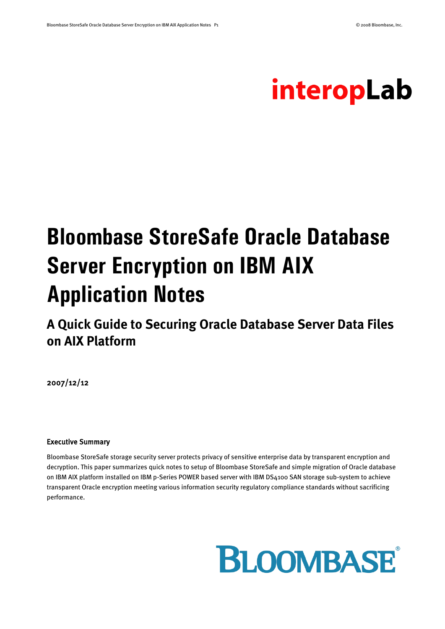# interopLab

# **Bloombase StoreSafe Oracle Database Server Encryption on IBM AIX Application Notes**

**A Quick Guide to Securing Oracle Database Server Data Files on AIX Platform**

2007/12/12

#### Executive Summary

Bloombase StoreSafe storage security server protects privacy of sensitive enterprise data by transparent encryption and decryption. This paper summarizes quick notes to setup of Bloombase StoreSafe and simple migration of Oracle database on IBM AIX platform installed on IBM p-Series POWER based server with IBM DS4100 SAN storage sub-system to achieve transparent Oracle encryption meeting various information security regulatory compliance standards without sacrificing performance.

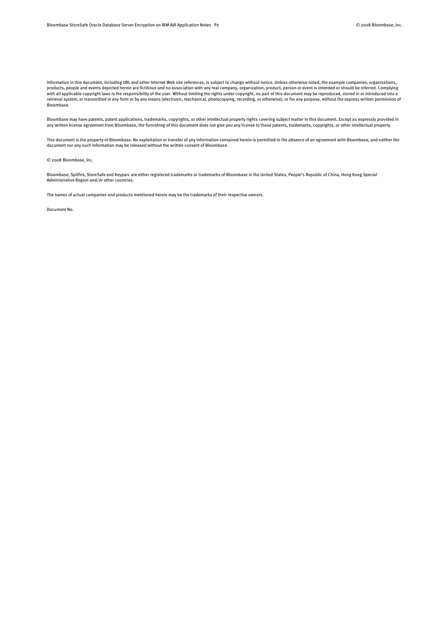Information in this document, including URL and other Internet Web site references, is subject to change without notice. Unless otherwise noted, the example companies, organizations, products, people and events depicted herein are fictitious and no association with any real company, organization, product, person or event is intended or should be inferred. Complying with all applicable copyright laws is the responsibility of the user. Without limiting the rights under copyright, no part of this document may be reproduced, stored in or introduced into a retrieval system, or transmitted in any form or by any means (electronic, mechanical, photocopying, recording, or otherwise), or for any purpose, without the express written permission of Bloombase.

Bloombase may have patents, patent applications, trademarks, copyrights, or other intellectual property rights covering subject matter in this document. Except as expressly provided in any written license agreement from Bloombase, the furnishing of this document does not give you any license to these patents, trademarks, copyrights, or other intellectual property.

This document is the property of Bloombase. No exploitation or transfer of any information contained herein is permitted in the absence of an agreement with Bloombase, and neither the document nor any such information may be released without the written consent of Bloombase.

© 2008 Bloombase, Inc.

Bloombase, Spitfire, StoreSafe and Keyparc are either registered trademarks or trademarks of Bloombase in the United States, People's Republic of China, Hong Kong Special Administrative Region and/or other countries.

The names of actual companies and products mentioned herein may be the trademarks of their respective owners.

Document No.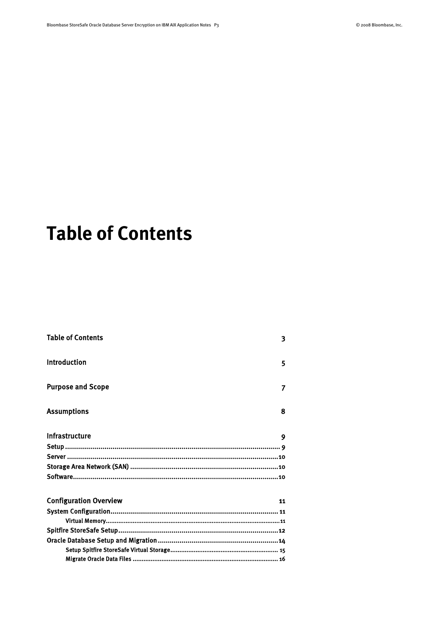# <span id="page-2-0"></span>**Table of Contents**

| <b>Table of Contents</b>      | 3  |
|-------------------------------|----|
| <b>Introduction</b>           | 5  |
| <b>Purpose and Scope</b>      | 7  |
| <b>Assumptions</b>            | 8  |
| Infrastructure                | 9  |
|                               |    |
|                               |    |
|                               |    |
|                               |    |
| <b>Configuration Overview</b> | 11 |
|                               |    |
|                               |    |
|                               |    |
|                               |    |
|                               |    |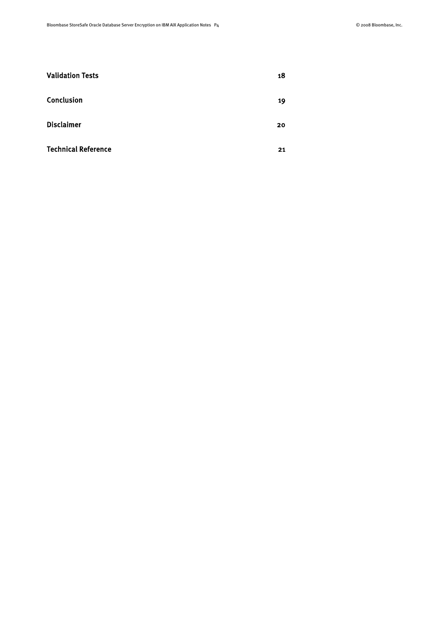| <b>Validation Tests</b>    | 18 |
|----------------------------|----|
| Conclusion                 | 19 |
| <b>Disclaimer</b>          | 20 |
| <b>Technical Reference</b> | 21 |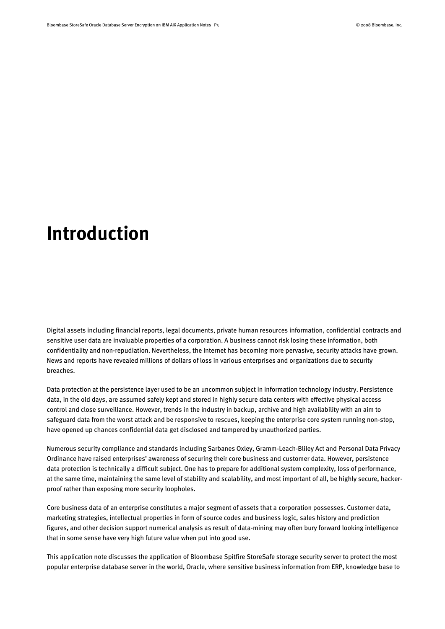## <span id="page-4-0"></span>**Introduction**

Digital assets including financial reports, legal documents, private human resources information, confidential contracts and sensitive user data are invaluable properties of a corporation. A business cannot risk losing these information, both confidentiality and non-repudiation. Nevertheless, the Internet has becoming more pervasive, security attacks have grown. News and reports have revealed millions of dollars of loss in various enterprises and organizations due to security breaches.

Data protection at the persistence layer used to be an uncommon subject in information technology industry. Persistence data, in the old days, are assumed safely kept and stored in highly secure data centers with effective physical access control and close surveillance. However, trends in the industry in backup, archive and high availability with an aim to safeguard data from the worst attack and be responsive to rescues, keeping the enterprise core system running non-stop, have opened up chances confidential data get disclosed and tampered by unauthorized parties.

Numerous security compliance and standards including Sarbanes Oxley, Gramm-Leach-Bliley Act and Personal Data Privacy Ordinance have raised enterprises' awareness of securing their core business and customer data. However, persistence data protection is technically a difficult subject. One has to prepare for additional system complexity, loss of performance, at the same time, maintaining the same level of stability and scalability, and most important of all, be highly secure, hackerproof rather than exposing more security loopholes.

Core business data of an enterprise constitutes a major segment of assets that a corporation possesses. Customer data, marketing strategies, intellectual properties in form of source codes and business logic, sales history and prediction figures, and other decision support numerical analysis as result of data-mining may often bury forward looking intelligence that in some sense have very high future value when put into good use.

This application note discusses the application of Bloombase Spitfire StoreSafe storage security server to protect the most popular enterprise database server in the world, Oracle, where sensitive business information from ERP, knowledge base to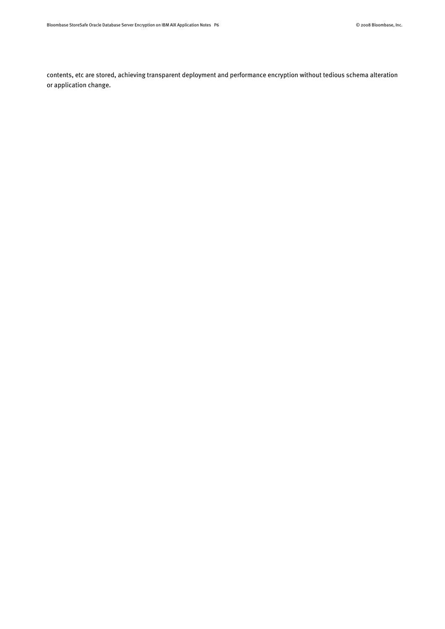contents, etc are stored, achieving transparent deployment and performance encryption without tedious schema alteration or application change.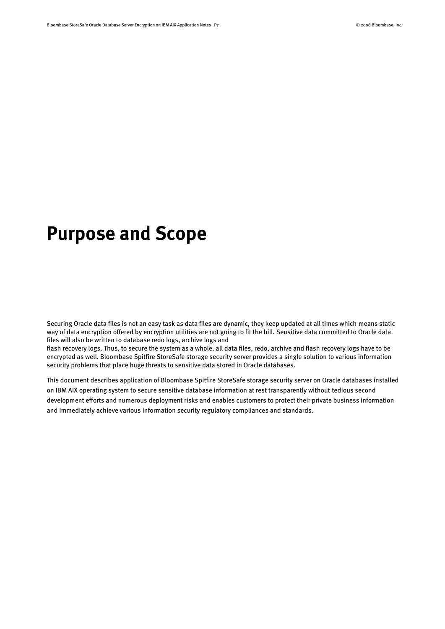## <span id="page-6-0"></span>**Purpose and Scope**

Securing Oracle data files is not an easy task as data files are dynamic, they keep updated at all times which means static way of data encryption offered by encryption utilities are not going to fit the bill. Sensitive data committed to Oracle data files will also be written to database redo logs, archive logs and

flash recovery logs. Thus, to secure the system as a whole, all data files, redo, archive and flash recovery logs have to be encrypted as well. Bloombase Spitfire StoreSafe storage security server provides a single solution to various information security problems that place huge threats to sensitive data stored in Oracle databases.

This document describes application of Bloombase Spitfire StoreSafe storage security server on Oracle databases installed on IBM AIX operating system to secure sensitive database information at rest transparently without tedious second development efforts and numerous deployment risks and enables customers to protect their private business information and immediately achieve various information security regulatory compliances and standards.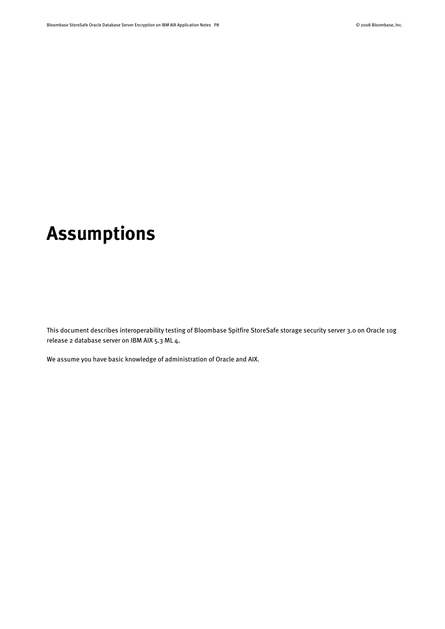# <span id="page-7-0"></span>**Assumptions**

This document describes interoperability testing of Bloombase Spitfire StoreSafe storage security server 3.0 on Oracle 10g release 2 database server on IBM AIX 5.3 ML 4.

We assume you have basic knowledge of administration of Oracle and AIX.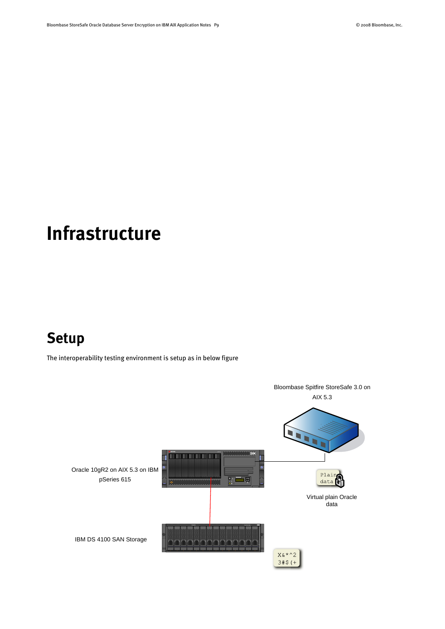# <span id="page-8-0"></span>**Infrastructure**

### <span id="page-8-1"></span>**Setup**

The interoperability testing environment is setup as in below figure

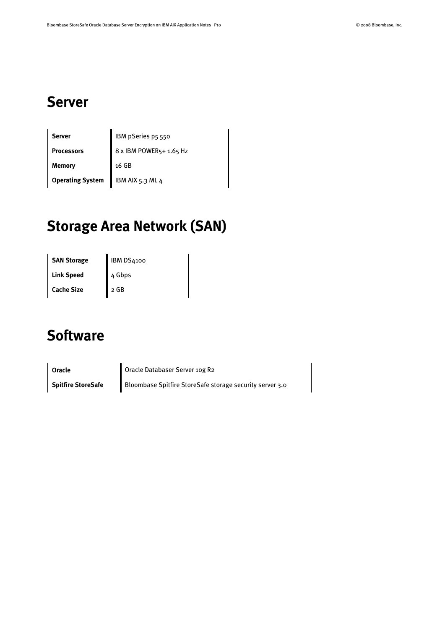### <span id="page-9-0"></span>**Server**

| Server                  | IBM pSeries p5 550      |
|-------------------------|-------------------------|
| <b>Processors</b>       | 8 x IBM POWER5+ 1.65 Hz |
| Memory                  | 16 GB                   |
| <b>Operating System</b> | IBM AIX 5.3 ML 4        |

### <span id="page-9-1"></span>**Storage Area Network (SAN)**

| <b>SAN Storage</b> | <b>IBM DS4100</b> |
|--------------------|-------------------|
| <b>Link Speed</b>  | 4 Gbps            |
| <b>Cache Size</b>  | $\sqrt{2}$ GB     |

### <span id="page-9-2"></span>**Software**

**Oracle Oracle Databaser Server 10g R2 Spitfire StoreSafe** Bloombase Spitfire StoreSafe storage security server 3.0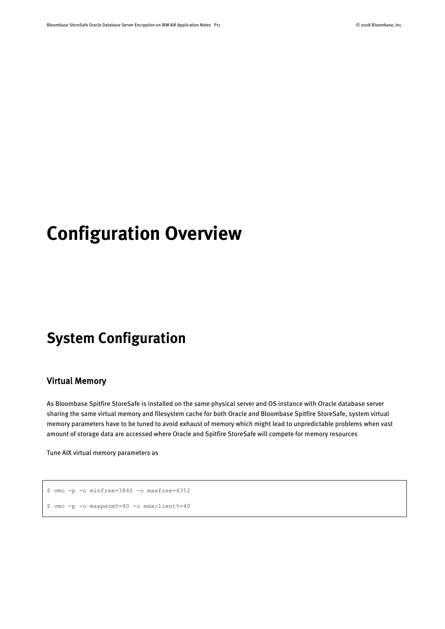# <span id="page-10-0"></span>**Configuration Overview**

### <span id="page-10-1"></span>**System Configuration**

### <span id="page-10-2"></span>Virtual Memory

As Bloombase Spitfire StoreSafe is installed on the same physical server and OS instance with Oracle database server sharing the same virtual memory and filesystem cache for both Oracle and Bloombase Spitfire StoreSafe, system virtual memory parameters have to be tuned to avoid exhaust of memory which might lead to unpredictable problems when vast amount of storage data are accessed where Oracle and Spitfire StoreSafe will compete for memory resources

Tune AIX virtual memory parameters as

```
$ vmo -p -o minfree=3840 -o maxfree=4352
$ vmo -p -o maxperm%=40 -o maxclient%=40
```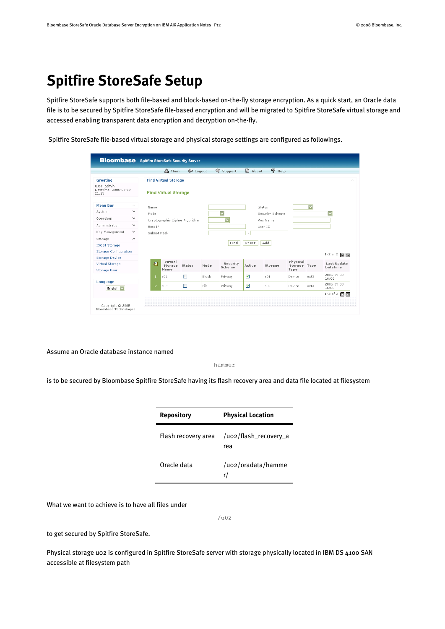### <span id="page-11-0"></span>**Spitfire StoreSafe Setup**

Spitfire StoreSafe supports both file-based and block-based on-the-fly storage encryption. As a quick start, an Oracle data file is to be secured by Spitfire StoreSafe file-based encryption and will be migrated to Spitfire StoreSafe virtual storage and accessed enabling transparent data encryption and decryption on-the-fly.

Spitfire StoreSafe file-based virtual storage and physical storage settings are configured as followings.

|                                               |                    |                | <b>Main</b>                    | Logout        |       | Support                 | a) About | $P$ Help        |          |                         |                         |
|-----------------------------------------------|--------------------|----------------|--------------------------------|---------------|-------|-------------------------|----------|-----------------|----------|-------------------------|-------------------------|
| Greeting                                      |                    |                | <b>Find Virtual Storage</b>    |               |       |                         |          |                 |          |                         |                         |
| User: admin.<br>Datetime: 2006-09-09<br>21:25 |                    |                | <b>Find Virtual Storage</b>    |               |       |                         |          |                 |          |                         |                         |
| <b>Menu Bar</b>                               | $\curvearrowright$ | Name           |                                |               |       |                         |          | Status          |          | $\overline{\mathbf{v}}$ |                         |
| Svstem                                        | $\checkmark$       | Mode           |                                |               |       | $\overline{\mathbf{v}}$ |          | Security Scheme |          |                         | $\overline{\mathbf{v}}$ |
| Operation                                     | $\checkmark$       |                | Cryptographic Cipher Algorithm |               |       | $\overline{\textbf{v}}$ |          | Key Name        |          |                         |                         |
| Administration                                | $\checkmark$       | Host IP        |                                |               |       |                         |          | User ID         |          |                         |                         |
| Key Management                                | $\checkmark$       | Subnet Mask    |                                |               |       |                         |          |                 |          |                         |                         |
| Storage                                       | $\wedge$           |                |                                |               |       |                         |          |                 |          |                         |                         |
| <b>ISCSI Storage</b>                          |                    |                |                                |               |       | Find                    | Reset    | Add             |          |                         |                         |
| <b>Storage Configuration</b>                  |                    |                |                                |               |       |                         |          |                 |          |                         | 1-2 of 2 $\blacksquare$ |
| <b>Storage Device</b>                         |                    |                | Virtual                        |               |       |                         |          |                 | Physical |                         |                         |
| <b>Virtual Storage</b>                        |                    | ÆП             | Storage                        | <b>Status</b> | Mode  | Security<br>Scheme      | Active   | Storage         | Storage  | Type                    | Last Update<br>Datetime |
| <b>Storage User</b>                           |                    |                | Name                           |               |       |                         |          |                 | Type     |                         | 2006-09-09              |
|                                               |                    | п              | 501                            | □             | Block | Privacy                 | ▽        | 501             | Device   | $ext{3}$                | 16:06                   |
| Language<br>English <sup>V</sup>              |                    | $\overline{z}$ | 502                            | □             | File  | Privacy                 | ▽        | 502             | Device   | $ext{3}$                | 2006-09-09<br>16:06     |
|                                               |                    |                |                                |               |       |                         |          |                 |          |                         | $1-2$ of 2 $\Box$       |

Assume an Oracle database instance named

hammer

is to be secured by Bloombase Spitfire StoreSafe having its flash recovery area and data file located at filesystem

| <b>Repository</b>   | <b>Physical Location</b>     |
|---------------------|------------------------------|
| Flash recovery area | /uo2/flash_recovery_a<br>rea |
| Oracle data         | /uo2/oradata/hamme<br>r/     |

What we want to achieve is to have all files under

/u02

to get secured by Spitfire StoreSafe.

Physical storage u02 is configured in Spitfire StoreSafe server with storage physically located in IBM DS 4100 SAN accessible at filesystem path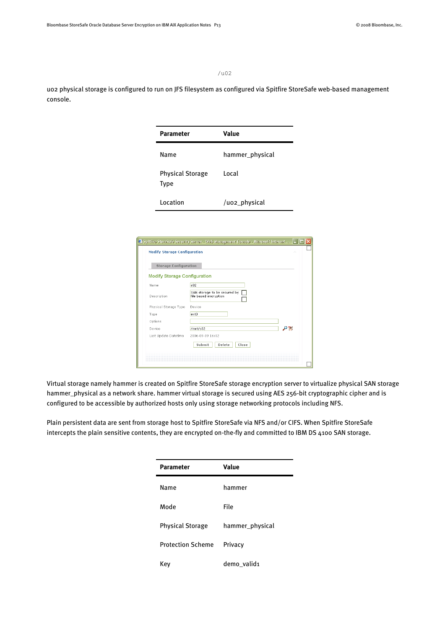/u02

uo2 physical storage is configured to run on JFS filesystem as configured via Spitfire StoreSafe web-based management console.

| <b>Parameter</b>                | Value           |
|---------------------------------|-----------------|
| Name                            | hammer_physical |
| <b>Physical Storage</b><br>Type | Local           |
| Location                        | /uo2_physical   |

| <b>Modify Storage Configuration</b><br>s02<br>Name |                                                       |
|----------------------------------------------------|-------------------------------------------------------|
|                                                    |                                                       |
|                                                    |                                                       |
| Description                                        | SAN storage to be secured by<br>file based encryption |
| Physical Storage Type<br>Device                    |                                                       |
| Type<br>$ext{3}$                                   |                                                       |
| Options                                            |                                                       |
| /mnt/s02<br>Device                                 | ₽₩                                                    |
| Last Update Datetime                               | 2006-09-09 16:02                                      |

Virtual storage namely hammer is created on Spitfire StoreSafe storage encryption server to virtualize physical SAN storage hammer\_physical as a network share. hammer virtual storage is secured using AES 256-bit cryptographic cipher and is configured to be accessible by authorized hosts only using storage networking protocols including NFS.

Plain persistent data are sent from storage host to Spitfire StoreSafe via NFS and/or CIFS. When Spitfire StoreSafe intercepts the plain sensitive contents, they are encrypted on-the-fly and committed to IBM DS 4100 SAN storage.

| <b>Parameter</b>         | Value           |
|--------------------------|-----------------|
| Name                     | hammer          |
| Mode                     | File            |
| <b>Physical Storage</b>  | hammer_physical |
| <b>Protection Scheme</b> | Privacy         |
| Kev                      | demo valid1     |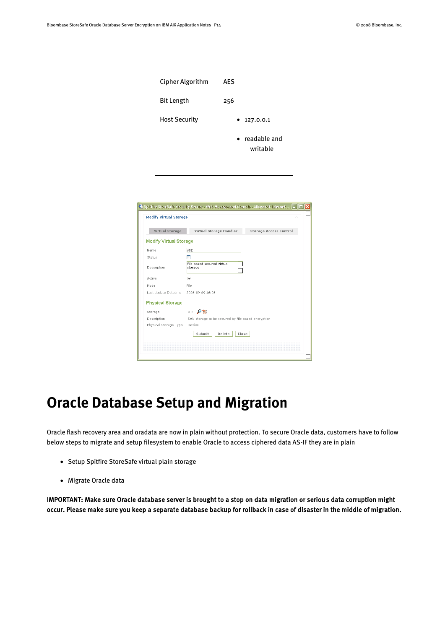| <b>Cipher Algorithm</b> | AES                                   |
|-------------------------|---------------------------------------|
| <b>Bit Length</b>       | 256                                   |
| <b>Host Security</b>    | 127.0.0.1<br>٠                        |
|                         | readable and<br>$\bullet$<br>writable |

| Virtual Storage                       | Virtual Storage Handler                            | <b>Storage Access Control</b> |
|---------------------------------------|----------------------------------------------------|-------------------------------|
| <b>Modify Virtual Storage</b>         |                                                    |                               |
|                                       |                                                    |                               |
| Name                                  | s02                                                |                               |
| Status                                |                                                    |                               |
| Description                           | File hased secured virtual.<br>storage             |                               |
| Active                                | ⊽                                                  |                               |
| Mode                                  | File.                                              |                               |
| Last Update Datetime 2006-09-09 16:06 |                                                    |                               |
| <b>Physical Storage</b>               |                                                    |                               |
| Storage                               | $502$ $P\%$                                        |                               |
| Description                           | SAN storage to be secured by file based encryption |                               |
| Physical Storage Type                 | Device                                             |                               |
|                                       | Submit<br>Delete<br>Close                          |                               |

### <span id="page-13-0"></span>**Oracle Database Setup and Migration**

Oracle flash recovery area and oradata are now in plain without protection. To secure Oracle data, customers have to follow below steps to migrate and setup filesystem to enable Oracle to access ciphered data AS-IF they are in plain

- Setup Spitfire StoreSafe virtual plain storage
- Migrate Oracle data

IMPORTANT: Make sure Oracle database server is brought to a stop on data migration or serious data corruption might occur. Please make sure you keep a separate database backup for rollback in case of disaster in the middle of migration.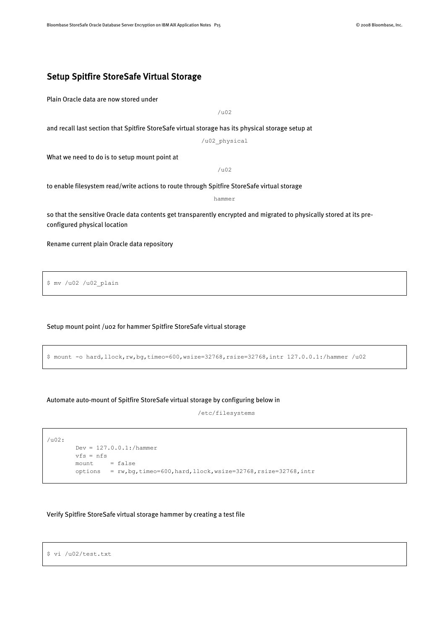#### <span id="page-14-0"></span>Setup Spitfire StoreSafe Virtual Storage

Plain Oracle data are now stored under

/u02

and recall last section that Spitfire StoreSafe virtual storage has its physical storage setup at

/u02\_physical

What we need to do is to setup mount point at

/u02

to enable filesystem read/write actions to route through Spitfire StoreSafe virtual storage

hammer

so that the sensitive Oracle data contents get transparently encrypted and migrated to physically stored at its preconfigured physical location

Rename current plain Oracle data repository

\$ mv /u02 /u02\_plain

#### Setup mount point /u02 for hammer Spitfire StoreSafe virtual storage

```
$ mount -o hard,llock,rw,bg,timeo=600,wsize=32768,rsize=32768,intr 127.0.0.1:/hammer /u02
```
#### Automate auto-mount of Spitfire StoreSafe virtual storage by configuring below in

/etc/filesystems

```
/u02:
        Dev = 127.0.0.1:/hammer
        vfs = nfs
       mount = false
       options = rw, bg, timeo=600, hard, llock, wsize=32768, rise=32768, intr
```
#### Verify Spitfire StoreSafe virtual storage hammer by creating a test file

```
$ vi /u02/test.txt
```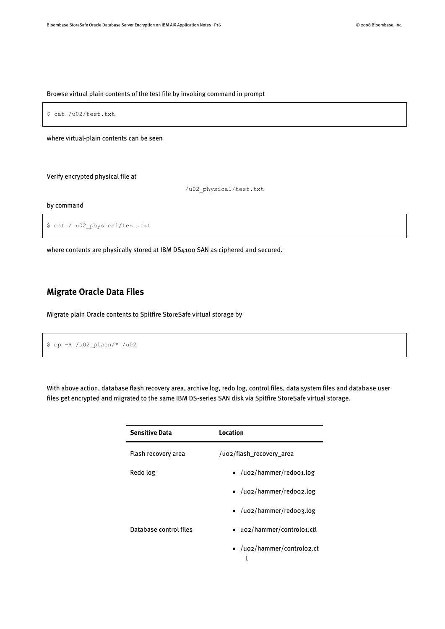#### Browse virtual plain contents of the test file by invoking command in prompt



/u02\_physical/test.txt

#### by command

```
$ cat / u02_physical/test.txt
```
where contents are physically stored at IBM DS4100 SAN as ciphered and secured.

### <span id="page-15-0"></span>Migrate Oracle Data Files

Migrate plain Oracle contents to Spitfire StoreSafe virtual storage by

```
$ cp –R /u02_plain/* /u02
```
With above action, database flash recovery area, archive log, redo log, control files, data system files and database user files get encrypted and migrated to the same IBM DS-series SAN disk via Spitfire StoreSafe virtual storage.

| <b>Sensitive Data</b>  | Location                         |
|------------------------|----------------------------------|
| Flash recovery area    | /uo2/flash_recovery_area         |
| Redo log               | $\bullet$ /uo2/hammer/redoo1.log |
|                        | $\bullet$ /uo2/hammer/redoo2.log |
|                        | • /uo2/hammer/redoo3.log         |
| Database control files | • uo2/hammer/controlo1.ctl       |
|                        | • /uo2/hammer/controlo2.ct       |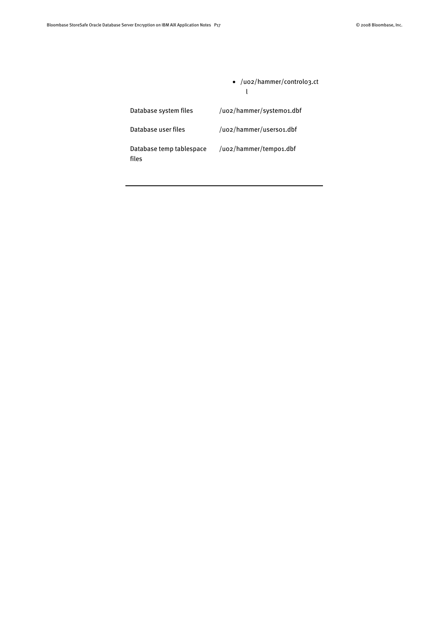|                                   | • /uo2/hammer/controlo3.ct |
|-----------------------------------|----------------------------|
| Database system files             | /uo2/hammer/systemo1.dbf   |
| Database user files               | /uo2/hammer/userso1.dbf    |
| Database temp tablespace<br>files | /uo2/hammer/tempo1.dbf     |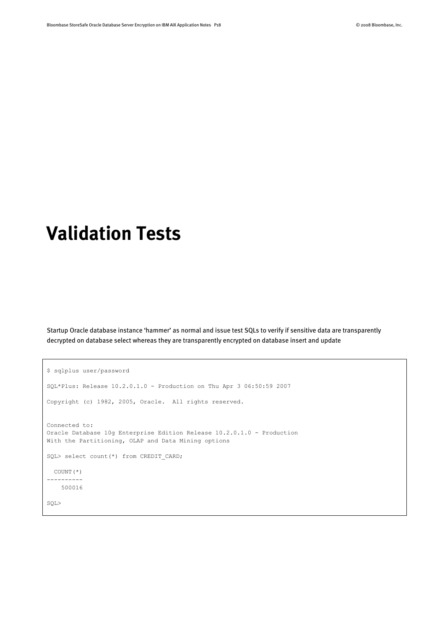# <span id="page-17-0"></span>**Validation Tests**

Startup Oracle database instance 'hammer' as normal and issue test SQLs to verify if sensitive data are transparently decrypted on database select whereas they are transparently encrypted on database insert and update

```
$ sqlplus user/password
SQL*Plus: Release 10.2.0.1.0 - Production on Thu Apr 3 06:50:59 2007
Copyright (c) 1982, 2005, Oracle. All rights reserved.
Connected to:
Oracle Database 10g Enterprise Edition Release 10.2.0.1.0 - Production
With the Partitioning, OLAP and Data Mining options
SQL> select count(*) from CREDIT_CARD;
  COUNT(*)
----------
    500016
SQL>
```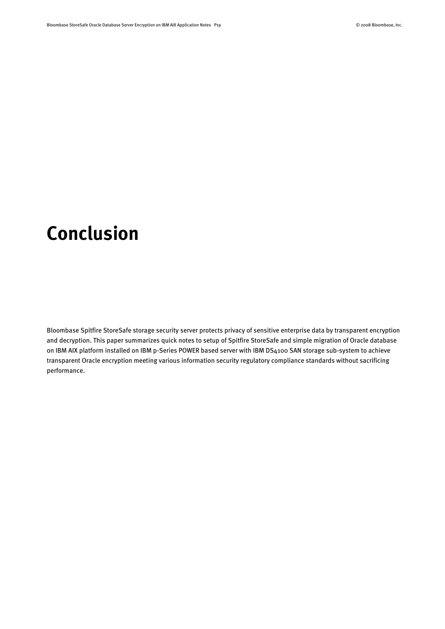# <span id="page-18-0"></span>**Conclusion**

Bloombase Spitfire StoreSafe storage security server protects privacy of sensitive enterprise data by transparent encryption and decryption. This paper summarizes quick notes to setup of Spitfire StoreSafe and simple migration of Oracle database on IBM AIX platform installed on IBM p-Series POWER based server with IBM DS4100 SAN storage sub-system to achieve transparent Oracle encryption meeting various information security regulatory compliance standards without sacrificing performance.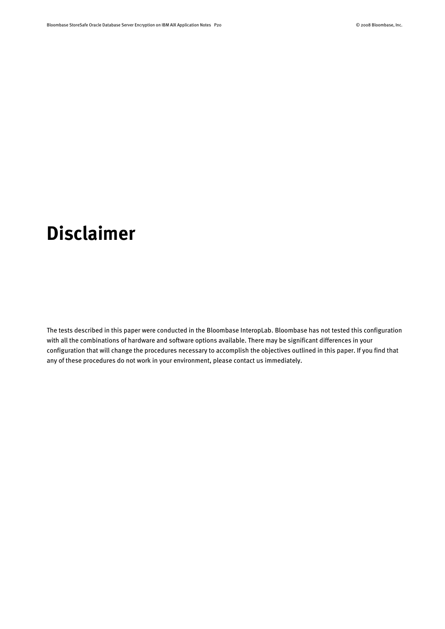# <span id="page-19-0"></span>**Disclaimer**

The tests described in this paper were conducted in the Bloombase InteropLab. Bloombase has not tested this configuration with all the combinations of hardware and software options available. There may be significant differences in your configuration that will change the procedures necessary to accomplish the objectives outlined in this paper. If you find that any of these procedures do not work in your environment, please contact us immediately.